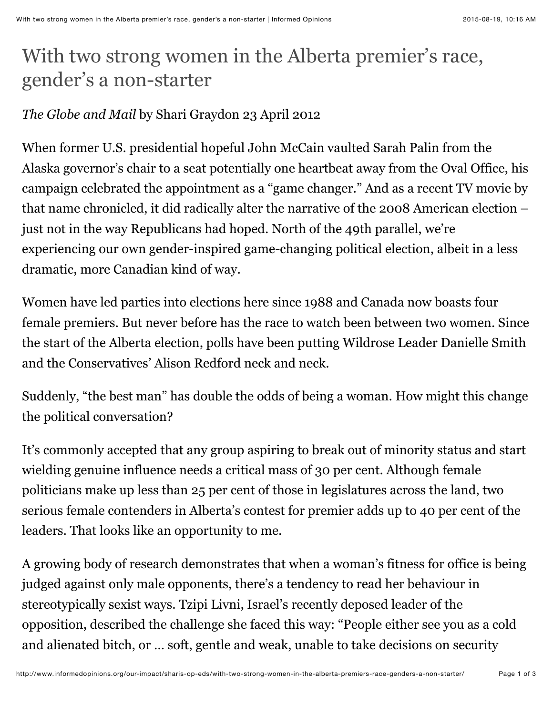## With two strong women in the Alberta premier's race, gender's a non-starter

## *The Globe and Mail* by Shari Graydon 23 April 2012

When former U.S. presidential hopeful John McCain vaulted Sarah Palin from the Alaska governor's chair to a seat potentially one heartbeat away from the Oval Office, his campaign celebrated the appointment as a "game changer." And as a recent TV movie by that name chronicled, it did radically alter the narrative of the 2008 American election – just not in the way Republicans had hoped. North of the 49th parallel, we're experiencing our own gender-inspired game-changing political election, albeit in a less dramatic, more Canadian kind of way.

Women have led parties into elections here since 1988 and Canada now boasts four female premiers. But never before has the race to watch been between two women. Since the start of the Alberta election, polls have been putting Wildrose Leader Danielle Smith and the Conservatives' Alison Redford neck and neck.

Suddenly, "the best man" has double the odds of being a woman. How might this change the political conversation?

It's commonly accepted that any group aspiring to break out of minority status and start wielding genuine influence needs a critical mass of 30 per cent. Although female politicians make up less than 25 per cent of those in legislatures across the land, two serious female contenders in Alberta's contest for premier adds up to 40 per cent of the leaders. That looks like an opportunity to me.

A growing body of research demonstrates that when a woman's fitness for office is being judged against only male opponents, there's a tendency to read her behaviour in stereotypically sexist ways. Tzipi Livni, Israel's recently deposed leader of the opposition, described the challenge she faced this way: "People either see you as a cold and alienated bitch, or … soft, gentle and weak, unable to take decisions on security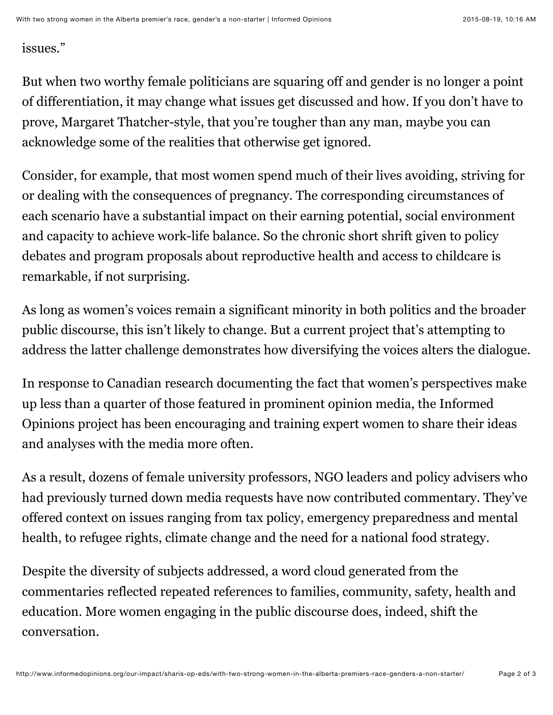## issues."

But when two worthy female politicians are squaring off and gender is no longer a point of differentiation, it may change what issues get discussed and how. If you don't have to prove, Margaret Thatcher-style, that you're tougher than any man, maybe you can acknowledge some of the realities that otherwise get ignored.

Consider, for example, that most women spend much of their lives avoiding, striving for or dealing with the consequences of pregnancy. The corresponding circumstances of each scenario have a substantial impact on their earning potential, social environment and capacity to achieve work-life balance. So the chronic short shrift given to policy debates and program proposals about reproductive health and access to childcare is remarkable, if not surprising.

As long as women's voices remain a significant minority in both politics and the broader public discourse, this isn't likely to change. But a current project that's attempting to address the latter challenge demonstrates how diversifying the voices alters the dialogue.

In response to Canadian research documenting the fact that women's perspectives make up less than a quarter of those featured in prominent opinion media, the Informed Opinions project has been encouraging and training expert women to share their ideas and analyses with the media more often.

As a result, dozens of female university professors, NGO leaders and policy advisers who had previously turned down media requests have now contributed commentary. They've offered context on issues ranging from tax policy, emergency preparedness and mental health, to refugee rights, climate change and the need for a national food strategy.

Despite the diversity of subjects addressed, a word cloud generated from the commentaries reflected repeated references to families, community, safety, health and education. More women engaging in the public discourse does, indeed, shift the conversation.